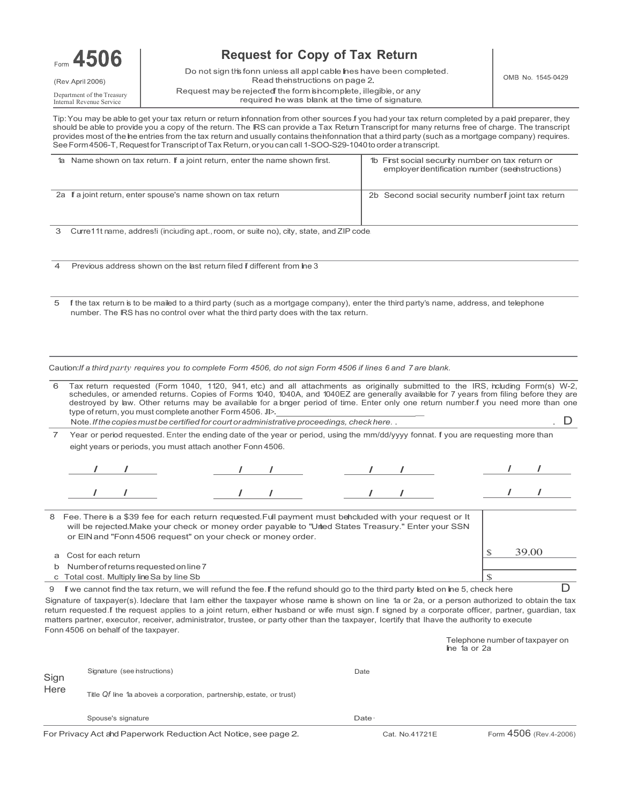

# **Request for Copy of Tax Return**

Do not sign this fonn unless all appl cable hes have been completed. Read thenstructions on page 2. Request may be rejected the form shcomplete, illegible, or any required he was blank at the time of signature.

Telephone number of taxpayer on

Department of the Treasury Internal Revenue Service

Tip: You may be able to get your tax return or return infonnation from other sources.f you had your tax return completed by a paid preparer, they should be able to provide you a copy of the return. The IRS can provide a Tax Return Transcript for many returns free of charge. The transcript provides most of the he entries from the tax return and usually contains theinfonnation that a third party (such as a mortgage company) requires. SeeForm4506-T, Requestfor TranscriptofTax Return,or youcan call 1-SOO-S29-1040to order atranscript.

| 1a Name shown on tax return. If a joint return, enter the name shown first. | 1b First social security number on tax return or<br>employer dentification number (seenstructions) |
|-----------------------------------------------------------------------------|----------------------------------------------------------------------------------------------------|
| 2a f a joint return, enter spouse's name shown on tax return                | 2b Second social security number fjoint tax return                                                 |

3 Curre11t name, addres!i (inciuding apt., room, or suite no.), city, state, and ZIP code.

4 Previous address shown on the last return filed if different from line 3

5 If the tax return is to be mailed to a third party (such as a mortgage company), enter the third party's name, address, and telephone number. The IRS has no control over what the third party does with the tax return.

Caution: If a third party requires you to complete Form 4506, do not sign Form 4506 if lines 6 and 7 are blank.

| 6 |                                                                                                                                 |  | Tax return requested (Form 1040, 1120, 941, etc.) and all attachments as originally submitted to the IRS, ncluding Form(s) W-2,<br>schedules, or amended returns. Copies of Forms 1040, 1040A, and 1040EZ are generally available for 7 years from filing before they are<br>destroyed by law. Other returns may be available for a bnger period of time. Enter only one return number f you need more than one<br>type of return, you must complete another Form 4506. JI>. |  |  |  |  |  |       |  |
|---|---------------------------------------------------------------------------------------------------------------------------------|--|------------------------------------------------------------------------------------------------------------------------------------------------------------------------------------------------------------------------------------------------------------------------------------------------------------------------------------------------------------------------------------------------------------------------------------------------------------------------------|--|--|--|--|--|-------|--|
|   |                                                                                                                                 |  | Note. If the copies must be certified for court or administrative proceedings, check here                                                                                                                                                                                                                                                                                                                                                                                    |  |  |  |  |  |       |  |
|   |                                                                                                                                 |  | Year or period requested. Enter the ending date of the year or period, using the mm/dd/yyyy fonnat. If you are requesting more than<br>eight years or periods, you must attach another Fonn 4506.                                                                                                                                                                                                                                                                            |  |  |  |  |  |       |  |
|   |                                                                                                                                 |  |                                                                                                                                                                                                                                                                                                                                                                                                                                                                              |  |  |  |  |  |       |  |
|   |                                                                                                                                 |  |                                                                                                                                                                                                                                                                                                                                                                                                                                                                              |  |  |  |  |  |       |  |
| 8 |                                                                                                                                 |  | Fee. There is a \$39 fee for each return requested. Full payment must behcluded with your request or It<br>will be rejected. Make your check or money order payable to "Unied States Treasury." Enter your SSN<br>or EIN and "Fonn 4506 request" on your check or money order.                                                                                                                                                                                               |  |  |  |  |  |       |  |
| a | Cost for each return                                                                                                            |  |                                                                                                                                                                                                                                                                                                                                                                                                                                                                              |  |  |  |  |  | 39.00 |  |
| b |                                                                                                                                 |  | Number of returns requested on line 7                                                                                                                                                                                                                                                                                                                                                                                                                                        |  |  |  |  |  |       |  |
|   |                                                                                                                                 |  | Total cost. Multiply line Sa by line Sb                                                                                                                                                                                                                                                                                                                                                                                                                                      |  |  |  |  |  |       |  |
|   | If we cannot find the tax return, we will refund the fee. If the refund should go to the third party isted on ine 5, check here |  |                                                                                                                                                                                                                                                                                                                                                                                                                                                                              |  |  |  |  |  |       |  |
|   |                                                                                                                                 |  |                                                                                                                                                                                                                                                                                                                                                                                                                                                                              |  |  |  |  |  |       |  |

Signature of taxpayer(s). Ideclare that Iam either the taxpayer whose name is shown on line 1a or 2a, or a person authorized to obtain the tax return requested.f the request applies to a joint return, either husband or wife must sign.f signed by a corporate officer, partner, guardian, tax matters partner, executor, receiver, administrator, trustee, or party other than the taxpayer, Icertify that Ihave the authority to execute Fonn 4506 on behalf of the taxpayer.

|              | For Privacy Act and Paperwork Reduction Act Notice, see page 2.       | Cat. No.41721E | Form 4506 (Rev.4-2006) |
|--------------|-----------------------------------------------------------------------|----------------|------------------------|
|              | Spouse's signature                                                    | Date ·         |                        |
| Sign<br>Here | Title Qf line 1a aboves a corporation, partnership, estate, or trust) |                |                        |
|              | Signature (see hstructions)                                           | Date           |                        |
|              |                                                                       |                | ine ia or 2a           |